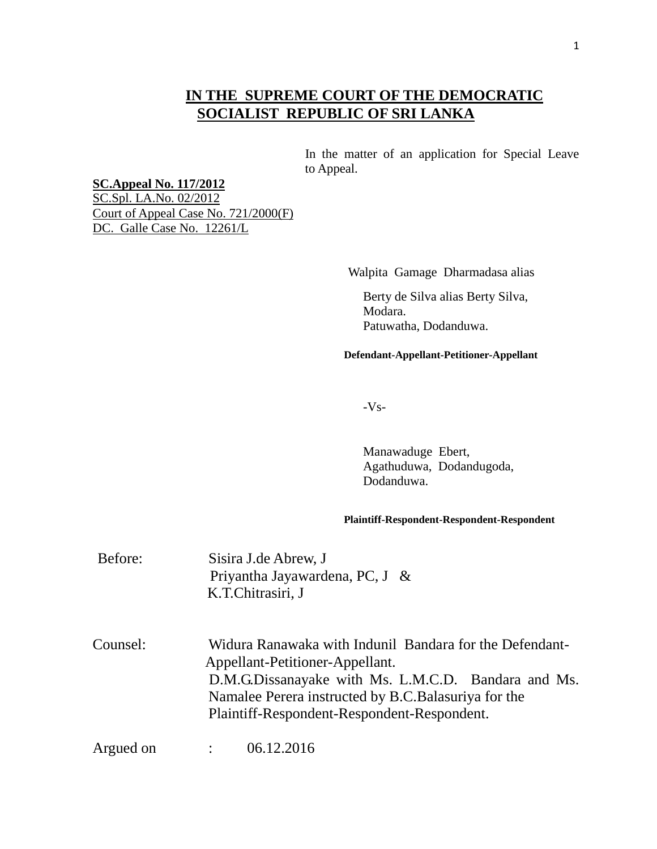## **IN THE SUPREME COURT OF THE DEMOCRATIC SOCIALIST REPUBLIC OF SRI LANKA**

 In the matter of an application for Special Leave to Appeal.

## **SC.Appeal No. 117/2012**

SC.Spl. LA.No. 02/2012 Court of Appeal Case No. 721/2000(F) DC. Galle Case No. 12261/L

Walpita Gamage Dharmadasa alias

Berty de Silva alias Berty Silva, Modara. Patuwatha, Dodanduwa.

**Defendant-Appellant-Petitioner-Appellant**

-Vs-

Manawaduge Ebert, Agathuduwa, Dodandugoda, Dodanduwa.

## **Plaintiff-Respondent-Respondent-Respondent**

| Before:   | Sisira J.de Abrew, J<br>Priyantha Jayawardena, PC, J $\&$<br>K.T.Chitrasiri, J                                                                                                                                                                           |  |
|-----------|----------------------------------------------------------------------------------------------------------------------------------------------------------------------------------------------------------------------------------------------------------|--|
| Counsel:  | Widura Ranawaka with Indunil Bandara for the Defendant-<br>Appellant-Petitioner-Appellant.<br>D.M.G.Dissanayake with Ms. L.M.C.D. Bandara and Ms.<br>Namalee Perera instructed by B.C. Balasuriya for the<br>Plaintiff-Respondent-Respondent-Respondent. |  |
| Argued on | 06.12.2016                                                                                                                                                                                                                                               |  |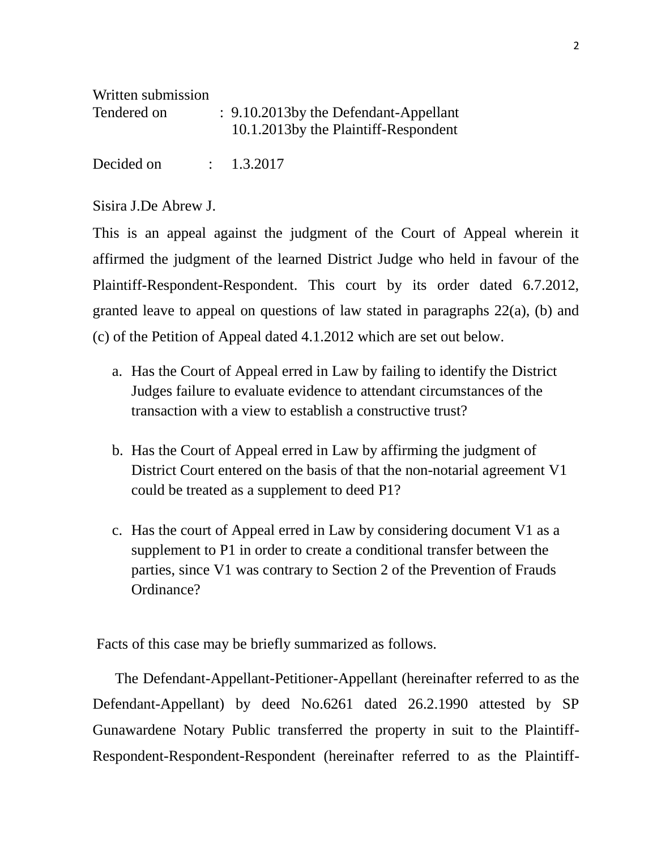Written submission

| Tendered on | : 9.10.2013by the Defendant-Appellant<br>10.1.2013 by the Plaintiff-Respondent |
|-------------|--------------------------------------------------------------------------------|
| Decided on  | $\therefore$ 1.3.2017                                                          |

Sisira J.De Abrew J.

This is an appeal against the judgment of the Court of Appeal wherein it affirmed the judgment of the learned District Judge who held in favour of the Plaintiff-Respondent-Respondent. This court by its order dated 6.7.2012, granted leave to appeal on questions of law stated in paragraphs 22(a), (b) and (c) of the Petition of Appeal dated 4.1.2012 which are set out below.

- a. Has the Court of Appeal erred in Law by failing to identify the District Judges failure to evaluate evidence to attendant circumstances of the transaction with a view to establish a constructive trust?
- b. Has the Court of Appeal erred in Law by affirming the judgment of District Court entered on the basis of that the non-notarial agreement V1 could be treated as a supplement to deed P1?
- c. Has the court of Appeal erred in Law by considering document V1 as a supplement to P1 in order to create a conditional transfer between the parties, since V1 was contrary to Section 2 of the Prevention of Frauds Ordinance?

Facts of this case may be briefly summarized as follows.

 The Defendant-Appellant-Petitioner-Appellant (hereinafter referred to as the Defendant-Appellant) by deed No.6261 dated 26.2.1990 attested by SP Gunawardene Notary Public transferred the property in suit to the Plaintiff-Respondent-Respondent-Respondent (hereinafter referred to as the Plaintiff-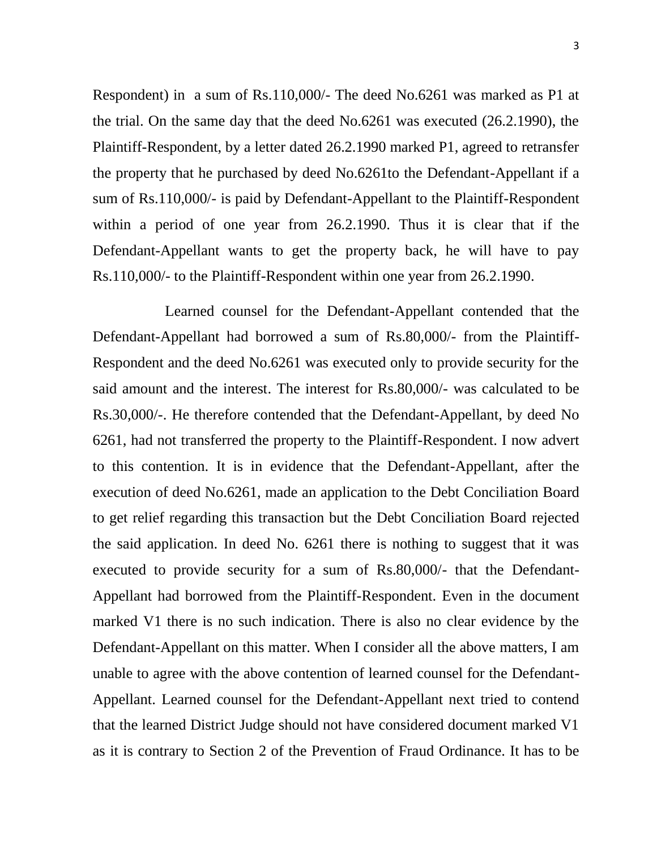Respondent) in a sum of Rs.110,000/- The deed No.6261 was marked as P1 at the trial. On the same day that the deed No.6261 was executed (26.2.1990), the Plaintiff-Respondent, by a letter dated 26.2.1990 marked P1, agreed to retransfer the property that he purchased by deed No.6261to the Defendant-Appellant if a sum of Rs.110,000/- is paid by Defendant-Appellant to the Plaintiff-Respondent within a period of one year from 26.2.1990. Thus it is clear that if the Defendant-Appellant wants to get the property back, he will have to pay Rs.110,000/- to the Plaintiff-Respondent within one year from 26.2.1990.

 Learned counsel for the Defendant-Appellant contended that the Defendant-Appellant had borrowed a sum of Rs.80,000/- from the Plaintiff-Respondent and the deed No.6261 was executed only to provide security for the said amount and the interest. The interest for Rs.80,000/- was calculated to be Rs.30,000/-. He therefore contended that the Defendant-Appellant, by deed No 6261, had not transferred the property to the Plaintiff-Respondent. I now advert to this contention. It is in evidence that the Defendant-Appellant, after the execution of deed No.6261, made an application to the Debt Conciliation Board to get relief regarding this transaction but the Debt Conciliation Board rejected the said application. In deed No. 6261 there is nothing to suggest that it was executed to provide security for a sum of Rs.80,000/- that the Defendant-Appellant had borrowed from the Plaintiff-Respondent. Even in the document marked V1 there is no such indication. There is also no clear evidence by the Defendant-Appellant on this matter. When I consider all the above matters, I am unable to agree with the above contention of learned counsel for the Defendant-Appellant. Learned counsel for the Defendant-Appellant next tried to contend that the learned District Judge should not have considered document marked V1 as it is contrary to Section 2 of the Prevention of Fraud Ordinance. It has to be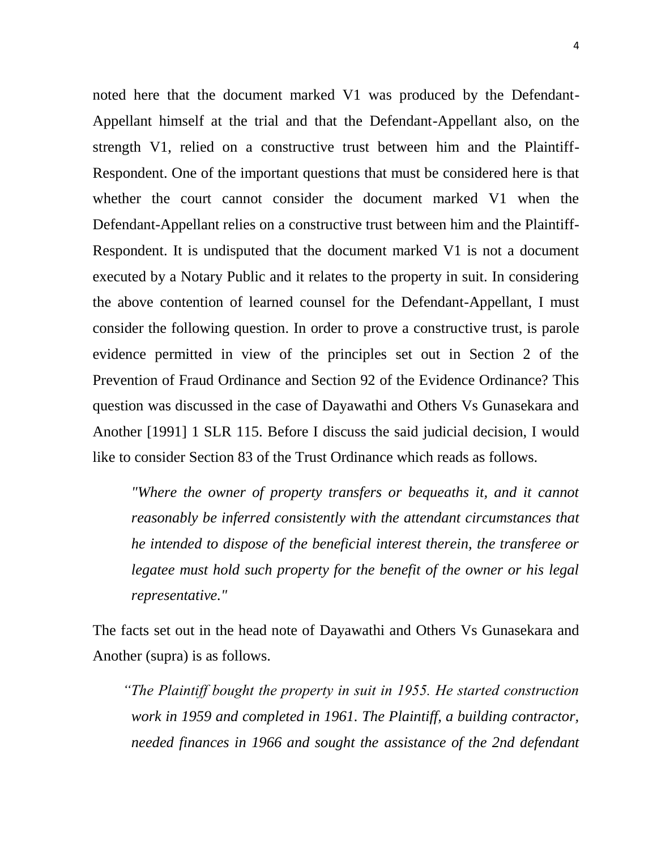noted here that the document marked V1 was produced by the Defendant-Appellant himself at the trial and that the Defendant-Appellant also, on the strength V1, relied on a constructive trust between him and the Plaintiff-Respondent. One of the important questions that must be considered here is that whether the court cannot consider the document marked V1 when the Defendant-Appellant relies on a constructive trust between him and the Plaintiff-Respondent. It is undisputed that the document marked V1 is not a document executed by a Notary Public and it relates to the property in suit. In considering the above contention of learned counsel for the Defendant-Appellant, I must consider the following question. In order to prove a constructive trust, is parole evidence permitted in view of the principles set out in Section 2 of the Prevention of Fraud Ordinance and Section 92 of the Evidence Ordinance? This question was discussed in the case of Dayawathi and Others Vs Gunasekara and Another [1991] 1 SLR 115. Before I discuss the said judicial decision, I would like to consider Section 83 of the Trust Ordinance which reads as follows.

*"Where the owner of property transfers or bequeaths it, and it cannot reasonably be inferred consistently with the attendant circumstances that he intended to dispose of the beneficial interest therein, the transferee or legatee must hold such property for the benefit of the owner or his legal representative."* 

The facts set out in the head note of Dayawathi and Others Vs Gunasekara and Another (supra) is as follows.

 *"The Plaintiff bought the property in suit in 1955. He started construction work in 1959 and completed in 1961. The Plaintiff, a building contractor, needed finances in 1966 and sought the assistance of the 2nd defendant*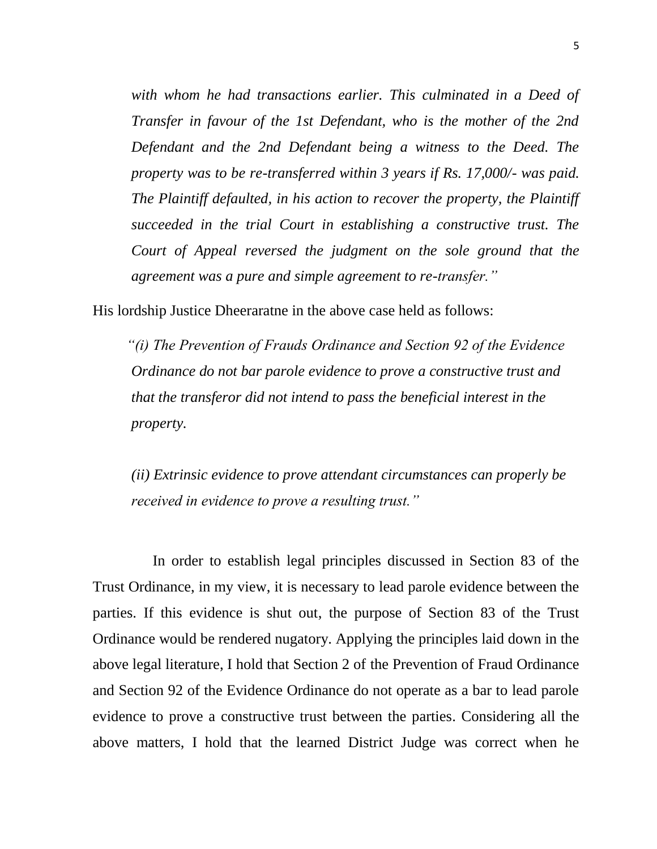with whom he had transactions earlier. This culminated in a Deed of *Transfer in favour of the 1st Defendant, who is the mother of the 2nd Defendant and the 2nd Defendant being a witness to the Deed. The property was to be re-transferred within 3 years if Rs. 17,000/- was paid. The Plaintiff defaulted, in his action to recover the property, the Plaintiff succeeded in the trial Court in establishing a constructive trust. The Court of Appeal reversed the judgment on the sole ground that the agreement was a pure and simple agreement to re-transfer."* 

His lordship Justice Dheeraratne in the above case held as follows:

 *"(i) The Prevention of Frauds Ordinance and Section 92 of the Evidence Ordinance do not bar parole evidence to prove a constructive trust and that the transferor did not intend to pass the beneficial interest in the property.*

*(ii) Extrinsic evidence to prove attendant circumstances can properly be received in evidence to prove a resulting trust."*

 In order to establish legal principles discussed in Section 83 of the Trust Ordinance, in my view, it is necessary to lead parole evidence between the parties. If this evidence is shut out, the purpose of Section 83 of the Trust Ordinance would be rendered nugatory. Applying the principles laid down in the above legal literature, I hold that Section 2 of the Prevention of Fraud Ordinance and Section 92 of the Evidence Ordinance do not operate as a bar to lead parole evidence to prove a constructive trust between the parties. Considering all the above matters, I hold that the learned District Judge was correct when he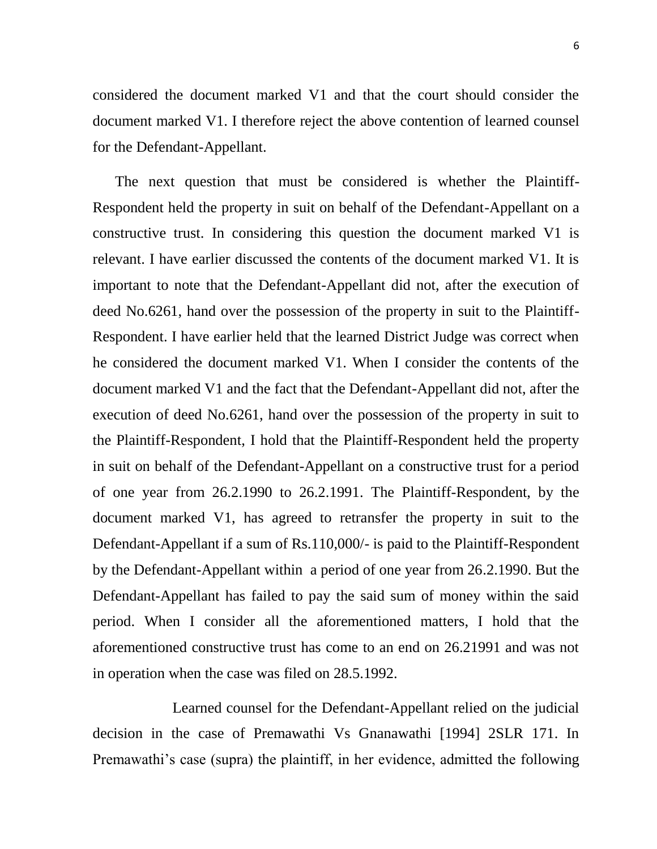considered the document marked V1 and that the court should consider the document marked V1. I therefore reject the above contention of learned counsel for the Defendant-Appellant.

 The next question that must be considered is whether the Plaintiff-Respondent held the property in suit on behalf of the Defendant-Appellant on a constructive trust. In considering this question the document marked V1 is relevant. I have earlier discussed the contents of the document marked V1. It is important to note that the Defendant-Appellant did not, after the execution of deed No.6261, hand over the possession of the property in suit to the Plaintiff-Respondent. I have earlier held that the learned District Judge was correct when he considered the document marked V1. When I consider the contents of the document marked V1 and the fact that the Defendant-Appellant did not, after the execution of deed No.6261, hand over the possession of the property in suit to the Plaintiff-Respondent, I hold that the Plaintiff-Respondent held the property in suit on behalf of the Defendant-Appellant on a constructive trust for a period of one year from 26.2.1990 to 26.2.1991. The Plaintiff-Respondent, by the document marked V1, has agreed to retransfer the property in suit to the Defendant-Appellant if a sum of Rs.110,000/- is paid to the Plaintiff-Respondent by the Defendant-Appellant within a period of one year from 26.2.1990. But the Defendant-Appellant has failed to pay the said sum of money within the said period. When I consider all the aforementioned matters, I hold that the aforementioned constructive trust has come to an end on 26.21991 and was not in operation when the case was filed on 28.5.1992.

 Learned counsel for the Defendant-Appellant relied on the judicial decision in the case of Premawathi Vs Gnanawathi [1994] 2SLR 171. In Premawathi's case (supra) the plaintiff, in her evidence, admitted the following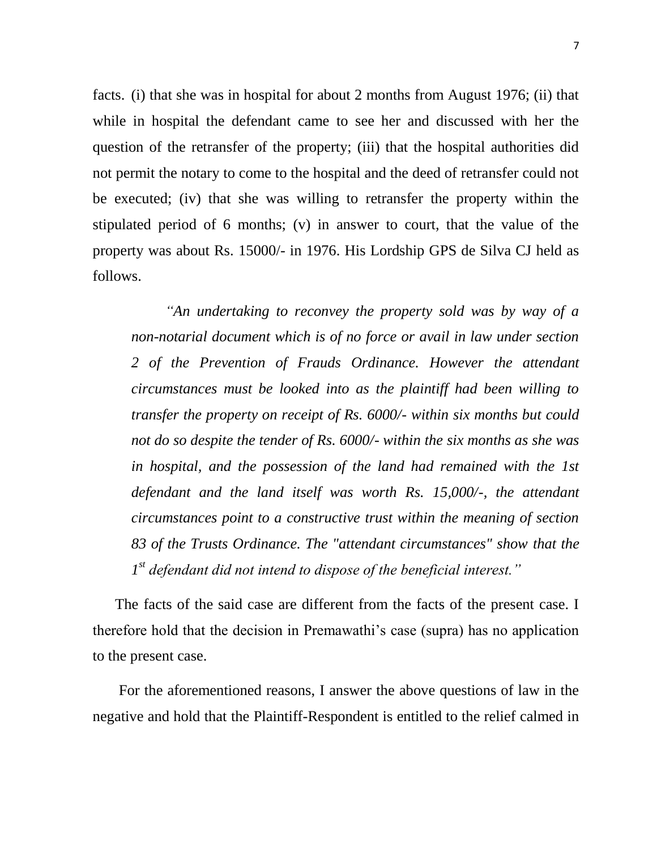facts. (i) that she was in hospital for about 2 months from August 1976; (ii) that while in hospital the defendant came to see her and discussed with her the question of the retransfer of the property; (iii) that the hospital authorities did not permit the notary to come to the hospital and the deed of retransfer could not be executed; (iv) that she was willing to retransfer the property within the stipulated period of 6 months; (v) in answer to court, that the value of the property was about Rs. 15000/- in 1976. His Lordship GPS de Silva CJ held as follows.

 *"An undertaking to reconvey the property sold was by way of a non-notarial document which is of no force or avail in law under section 2 of the Prevention of Frauds Ordinance. However the attendant circumstances must be looked into as the plaintiff had been willing to transfer the property on receipt of Rs. 6000/- within six months but could not do so despite the tender of Rs. 6000/- within the six months as she was in hospital, and the possession of the land had remained with the 1st defendant and the land itself was worth Rs. 15,000/-, the attendant circumstances point to a constructive trust within the meaning of section 83 of the Trusts Ordinance. The "attendant circumstances" show that the 1 st defendant did not intend to dispose of the beneficial interest."*

 The facts of the said case are different from the facts of the present case. I therefore hold that the decision in Premawathi's case (supra) has no application to the present case.

 For the aforementioned reasons, I answer the above questions of law in the negative and hold that the Plaintiff-Respondent is entitled to the relief calmed in